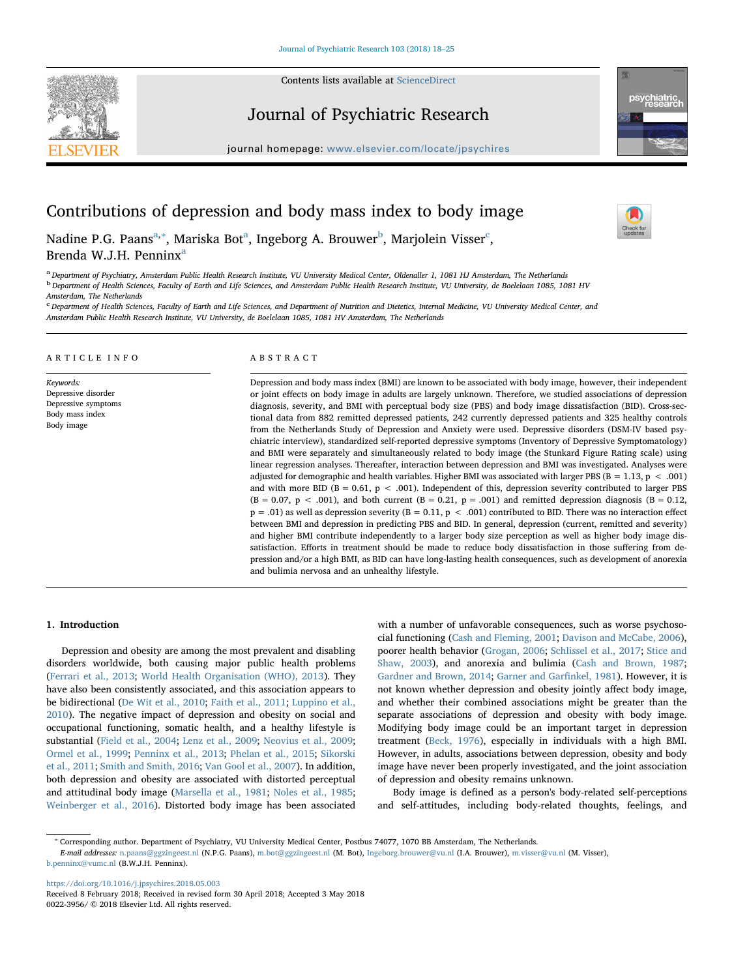Contents lists available at [ScienceDirect](http://www.sciencedirect.com/science/journal/00223956)





## Journal of Psychiatric Research

journal homepage: [www.elsevier.com/locate/jpsychires](https://www.elsevier.com/locate/jpsychires)

# Contributions of depression and body mass index to body image



N[a](#page-0-0)dine P.G. Paans $^{\mathrm{a},*}$ , Mariska Bot $^{\mathrm{a}}$ , Inge[b](#page-0-2)org A. Brouwer $^{\mathrm{b}}$ , Marjolein Visser $^{\mathrm{c}}$  $^{\mathrm{c}}$  $^{\mathrm{c}}$ , Brend[a](#page-0-0) W.J.H. Penninx<sup>a</sup>

<span id="page-0-2"></span><span id="page-0-0"></span>a Department of Psychiatry, Amsterdam Public Health Research Institute, VU University Medical Center, Oldenaller 1, 1081 HJ Amsterdam, The Netherlands <sup>b</sup> Department of Health Sciences, Faculty of Earth and Life Sciences, and Amsterdam Public Health Research Institute, VU University, de Boelelaan 1085, 1081 HV Amsterdam, The Netherlands

<span id="page-0-3"></span><sup>c</sup> Department of Health Sciences, Faculty of Earth and Life Sciences, and Department of Nutrition and Dietetics, Internal Medicine, VU University Medical Center, and Amsterdam Public Health Research Institute, VU University, de Boelelaan 1085, 1081 HV Amsterdam, The Netherlands

#### ARTICLE INFO

Keywords: Depressive disorder Depressive symptoms Body mass index Body image

#### ABSTRACT

Depression and body mass index (BMI) are known to be associated with body image, however, their independent or joint effects on body image in adults are largely unknown. Therefore, we studied associations of depression diagnosis, severity, and BMI with perceptual body size (PBS) and body image dissatisfaction (BID). Cross-sectional data from 882 remitted depressed patients, 242 currently depressed patients and 325 healthy controls from the Netherlands Study of Depression and Anxiety were used. Depressive disorders (DSM-IV based psychiatric interview), standardized self-reported depressive symptoms (Inventory of Depressive Symptomatology) and BMI were separately and simultaneously related to body image (the Stunkard Figure Rating scale) using linear regression analyses. Thereafter, interaction between depression and BMI was investigated. Analyses were adjusted for demographic and health variables. Higher BMI was associated with larger PBS ( $B = 1.13$ ,  $p < .001$ ) and with more BID (B = 0.61, p < .001). Independent of this, depression severity contributed to larger PBS  $(B = 0.07, p < .001)$ , and both current  $(B = 0.21, p = .001)$  and remitted depression diagnosis  $(B = 0.12, p = .001)$  $p = .01$ ) as well as depression severity (B = 0.11,  $p < .001$ ) contributed to BID. There was no interaction effect between BMI and depression in predicting PBS and BID. In general, depression (current, remitted and severity) and higher BMI contribute independently to a larger body size perception as well as higher body image dissatisfaction. Efforts in treatment should be made to reduce body dissatisfaction in those suffering from depression and/or a high BMI, as BID can have long-lasting health consequences, such as development of anorexia and bulimia nervosa and an unhealthy lifestyle.

#### 1. Introduction

Depression and obesity are among the most prevalent and disabling disorders worldwide, both causing major public health problems ([Ferrari et al., 2013](#page-6-0); [World Health Organisation \(WHO\), 2013\)](#page-7-0). They have also been consistently associated, and this association appears to be bidirectional ([De Wit et al., 2010;](#page-6-1) [Faith et al., 2011](#page-6-2); [Luppino et al.,](#page-6-3) [2010\)](#page-6-3). The negative impact of depression and obesity on social and occupational functioning, somatic health, and a healthy lifestyle is substantial ([Field et al., 2004](#page-6-4); [Lenz et al., 2009;](#page-6-5) [Neovius et al., 2009](#page-6-6); [Ormel et al., 1999;](#page-6-7) [Penninx et al., 2013;](#page-6-8) [Phelan et al., 2015](#page-6-9); [Sikorski](#page-7-1) [et al., 2011](#page-7-1); [Smith and Smith, 2016](#page-7-2); [Van Gool et al., 2007](#page-7-3)). In addition, both depression and obesity are associated with distorted perceptual and attitudinal body image ([Marsella et al., 1981;](#page-6-10) [Noles et al., 1985](#page-6-11); [Weinberger et al., 2016](#page-7-4)). Distorted body image has been associated

with a number of unfavorable consequences, such as worse psychosocial functioning ([Cash and Fleming, 2001;](#page-6-12) [Davison and McCabe, 2006](#page-6-13)), poorer health behavior ([Grogan, 2006](#page-6-14); [Schlissel et al., 2017](#page-7-5); [Stice and](#page-7-6) [Shaw, 2003\)](#page-7-6), and anorexia and bulimia [\(Cash and Brown, 1987](#page-6-15); [Gardner and Brown, 2014;](#page-6-16) [Garner and Gar](#page-6-17)finkel, 1981). However, it is not known whether depression and obesity jointly affect body image, and whether their combined associations might be greater than the separate associations of depression and obesity with body image. Modifying body image could be an important target in depression treatment [\(Beck, 1976](#page-6-18)), especially in individuals with a high BMI. However, in adults, associations between depression, obesity and body image have never been properly investigated, and the joint association of depression and obesity remains unknown.

Body image is defined as a person's body-related self-perceptions and self-attitudes, including body-related thoughts, feelings, and

E-mail addresses: [n.paans@ggzingeest.nl](mailto:n.paans@ggzingeest.nl) (N.P.G. Paans), [m.bot@ggzingeest.nl](mailto:m.bot@ggzingeest.nl) (M. Bot), [Ingeborg.brouwer@vu.nl](mailto:Ingeborg.brouwer@vu.nl) (I.A. Brouwer), [m.visser@vu.nl](mailto:m.visser@vu.nl) (M. Visser), [b.penninx@vumc.nl](mailto:b.penninx@vumc.nl) (B.W.J.H. Penninx).

<https://doi.org/10.1016/j.jpsychires.2018.05.003>

<span id="page-0-1"></span><sup>∗</sup> Corresponding author. Department of Psychiatry, VU University Medical Center, Postbus 74077, 1070 BB Amsterdam, The Netherlands.

Received 8 February 2018; Received in revised form 30 April 2018; Accepted 3 May 2018 0022-3956/ © 2018 Elsevier Ltd. All rights reserved.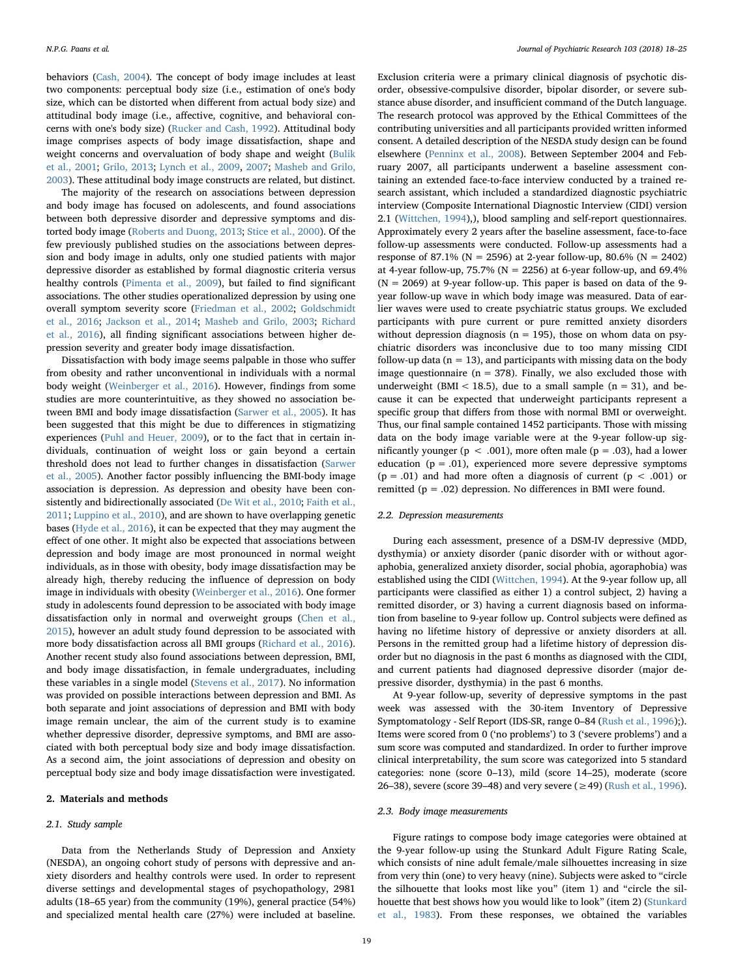behaviors [\(Cash, 2004](#page-6-19)). The concept of body image includes at least two components: perceptual body size (i.e., estimation of one's body size, which can be distorted when different from actual body size) and attitudinal body image (i.e., affective, cognitive, and behavioral concerns with one's body size) [\(Rucker and Cash, 1992](#page-7-7)). Attitudinal body image comprises aspects of body image dissatisfaction, shape and weight concerns and overvaluation of body shape and weight [\(Bulik](#page-6-20) [et al., 2001;](#page-6-20) [Grilo, 2013;](#page-6-21) [Lynch et al., 2009,](#page-6-22) [2007;](#page-6-23) [Masheb and Grilo,](#page-6-24) [2003\)](#page-6-24). These attitudinal body image constructs are related, but distinct.

The majority of the research on associations between depression and body image has focused on adolescents, and found associations between both depressive disorder and depressive symptoms and distorted body image [\(Roberts and Duong, 2013;](#page-7-8) [Stice et al., 2000\)](#page-7-9). Of the few previously published studies on the associations between depression and body image in adults, only one studied patients with major depressive disorder as established by formal diagnostic criteria versus healthy controls [\(Pimenta et al., 2009\)](#page-6-25), but failed to find significant associations. The other studies operationalized depression by using one overall symptom severity score [\(Friedman et al., 2002](#page-6-26); [Goldschmidt](#page-6-27) [et al., 2016](#page-6-27); [Jackson et al., 2014](#page-6-28); [Masheb and Grilo, 2003](#page-6-24); [Richard](#page-7-10) [et al., 2016\)](#page-7-10), all finding significant associations between higher depression severity and greater body image dissatisfaction.

Dissatisfaction with body image seems palpable in those who suffer from obesity and rather unconventional in individuals with a normal body weight [\(Weinberger et al., 2016\)](#page-7-4). However, findings from some studies are more counterintuitive, as they showed no association between BMI and body image dissatisfaction [\(Sarwer et al., 2005](#page-7-11)). It has been suggested that this might be due to differences in stigmatizing experiences ([Puhl and Heuer, 2009\)](#page-7-12), or to the fact that in certain individuals, continuation of weight loss or gain beyond a certain threshold does not lead to further changes in dissatisfaction [\(Sarwer](#page-7-11) [et al., 2005\)](#page-7-11). Another factor possibly influencing the BMI-body image association is depression. As depression and obesity have been consistently and bidirectionally associated ([De Wit et al., 2010;](#page-6-1) [Faith et al.,](#page-6-2) [2011;](#page-6-2) [Luppino et al., 2010\)](#page-6-3), and are shown to have overlapping genetic bases [\(Hyde et al., 2016\)](#page-6-29), it can be expected that they may augment the effect of one other. It might also be expected that associations between depression and body image are most pronounced in normal weight individuals, as in those with obesity, body image dissatisfaction may be already high, thereby reducing the influence of depression on body image in individuals with obesity [\(Weinberger et al., 2016](#page-7-4)). One former study in adolescents found depression to be associated with body image dissatisfaction only in normal and overweight groups ([Chen et al.,](#page-6-30) [2015\)](#page-6-30), however an adult study found depression to be associated with more body dissatisfaction across all BMI groups ([Richard et al., 2016](#page-7-10)). Another recent study also found associations between depression, BMI, and body image dissatisfaction, in female undergraduates, including these variables in a single model ([Stevens et al., 2017\)](#page-7-13). No information was provided on possible interactions between depression and BMI. As both separate and joint associations of depression and BMI with body image remain unclear, the aim of the current study is to examine whether depressive disorder, depressive symptoms, and BMI are associated with both perceptual body size and body image dissatisfaction. As a second aim, the joint associations of depression and obesity on perceptual body size and body image dissatisfaction were investigated.

### 2. Materials and methods

#### 2.1. Study sample

Data from the Netherlands Study of Depression and Anxiety (NESDA), an ongoing cohort study of persons with depressive and anxiety disorders and healthy controls were used. In order to represent diverse settings and developmental stages of psychopathology, 2981 adults (18–65 year) from the community (19%), general practice (54%) and specialized mental health care (27%) were included at baseline.

Exclusion criteria were a primary clinical diagnosis of psychotic disorder, obsessive-compulsive disorder, bipolar disorder, or severe substance abuse disorder, and insufficient command of the Dutch language. The research protocol was approved by the Ethical Committees of the contributing universities and all participants provided written informed consent. A detailed description of the NESDA study design can be found elsewhere [\(Penninx et al., 2008](#page-6-31)). Between September 2004 and February 2007, all participants underwent a baseline assessment containing an extended face-to-face interview conducted by a trained research assistant, which included a standardized diagnostic psychiatric interview (Composite International Diagnostic Interview (CIDI) version 2.1 ([Wittchen, 1994\)](#page-7-14),), blood sampling and self-report questionnaires. Approximately every 2 years after the baseline assessment, face-to-face follow-up assessments were conducted. Follow-up assessments had a response of 87.1% ( $N = 2596$ ) at 2-year follow-up, 80.6% ( $N = 2402$ ) at 4-year follow-up, 75.7% ( $N = 2256$ ) at 6-year follow-up, and 69.4%  $(N = 2069)$  at 9-year follow-up. This paper is based on data of the 9year follow-up wave in which body image was measured. Data of earlier waves were used to create psychiatric status groups. We excluded participants with pure current or pure remitted anxiety disorders without depression diagnosis ( $n = 195$ ), those on whom data on psychiatric disorders was inconclusive due to too many missing CIDI follow-up data ( $n = 13$ ), and participants with missing data on the body image questionnaire ( $n = 378$ ). Finally, we also excluded those with underweight (BMI < 18.5), due to a small sample ( $n = 31$ ), and because it can be expected that underweight participants represent a specific group that differs from those with normal BMI or overweight. Thus, our final sample contained 1452 participants. Those with missing data on the body image variable were at the 9-year follow-up significantly younger ( $p < .001$ ), more often male ( $p = .03$ ), had a lower education ( $p = .01$ ), experienced more severe depressive symptoms  $(p = .01)$  and had more often a diagnosis of current  $(p < .001)$  or remitted ( $p = .02$ ) depression. No differences in BMI were found.

#### 2.2. Depression measurements

During each assessment, presence of a DSM-IV depressive (MDD, dysthymia) or anxiety disorder (panic disorder with or without agoraphobia, generalized anxiety disorder, social phobia, agoraphobia) was established using the CIDI ([Wittchen, 1994\)](#page-7-14). At the 9-year follow up, all participants were classified as either 1) a control subject, 2) having a remitted disorder, or 3) having a current diagnosis based on information from baseline to 9-year follow up. Control subjects were defined as having no lifetime history of depressive or anxiety disorders at all. Persons in the remitted group had a lifetime history of depression disorder but no diagnosis in the past 6 months as diagnosed with the CIDI, and current patients had diagnosed depressive disorder (major depressive disorder, dysthymia) in the past 6 months.

At 9-year follow-up, severity of depressive symptoms in the past week was assessed with the 30-item Inventory of Depressive Symptomatology - Self Report (IDS-SR, range 0–84 ([Rush et al., 1996](#page-7-15));). Items were scored from 0 ('no problems') to 3 ('severe problems') and a sum score was computed and standardized. In order to further improve clinical interpretability, the sum score was categorized into 5 standard categories: none (score 0–13), mild (score 14–25), moderate (score 26–38), severe (score 39–48) and very severe (≥49) ([Rush et al., 1996](#page-7-15)).

#### 2.3. Body image measurements

Figure ratings to compose body image categories were obtained at the 9-year follow-up using the Stunkard Adult Figure Rating Scale, which consists of nine adult female/male silhouettes increasing in size from very thin (one) to very heavy (nine). Subjects were asked to "circle the silhouette that looks most like you" (item 1) and "circle the silhouette that best shows how you would like to look" (item 2) ([Stunkard](#page-7-16) [et al., 1983\)](#page-7-16). From these responses, we obtained the variables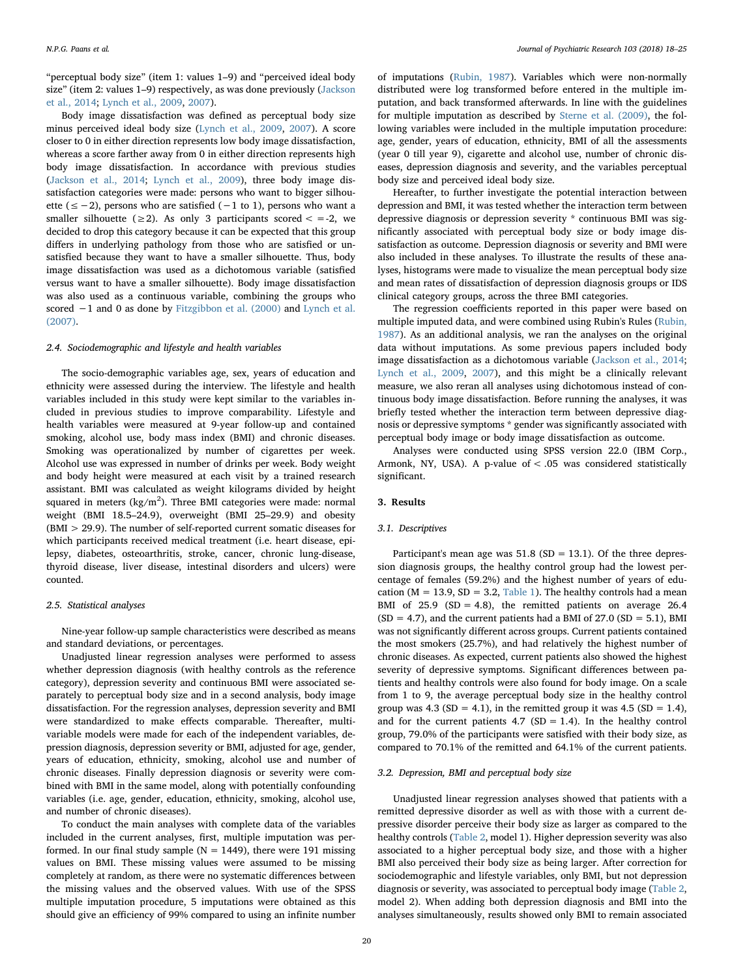"perceptual body size" (item 1: values 1–9) and "perceived ideal body size" (item 2: values 1–9) respectively, as was done previously ([Jackson](#page-6-28) [et al., 2014](#page-6-28); [Lynch et al., 2009,](#page-6-22) [2007\)](#page-6-23).

Body image dissatisfaction was defined as perceptual body size minus perceived ideal body size ([Lynch et al., 2009](#page-6-22), [2007\)](#page-6-23). A score closer to 0 in either direction represents low body image dissatisfaction, whereas a score farther away from 0 in either direction represents high body image dissatisfaction. In accordance with previous studies ([Jackson et al., 2014;](#page-6-28) [Lynch et al., 2009](#page-6-22)), three body image dissatisfaction categories were made: persons who want to bigger silhouette (≤−2), persons who are satisfied (−1 to 1), persons who want a smaller silhouette ( $\geq$ 2). As only 3 participants scored  $\lt$  =-2, we decided to drop this category because it can be expected that this group differs in underlying pathology from those who are satisfied or unsatisfied because they want to have a smaller silhouette. Thus, body image dissatisfaction was used as a dichotomous variable (satisfied versus want to have a smaller silhouette). Body image dissatisfaction was also used as a continuous variable, combining the groups who scored -1 and 0 as done by [Fitzgibbon et al. \(2000\)](#page-6-32) and [Lynch et al.](#page-6-23) [\(2007\).](#page-6-23)

#### 2.4. Sociodemographic and lifestyle and health variables

The socio-demographic variables age, sex, years of education and ethnicity were assessed during the interview. The lifestyle and health variables included in this study were kept similar to the variables included in previous studies to improve comparability. Lifestyle and health variables were measured at 9-year follow-up and contained smoking, alcohol use, body mass index (BMI) and chronic diseases. Smoking was operationalized by number of cigarettes per week. Alcohol use was expressed in number of drinks per week. Body weight and body height were measured at each visit by a trained research assistant. BMI was calculated as weight kilograms divided by height squared in meters (kg/m<sup>2</sup>). Three BMI categories were made: normal weight (BMI 18.5–24.9), overweight (BMI 25–29.9) and obesity (BMI > 29.9). The number of self-reported current somatic diseases for which participants received medical treatment (i.e. heart disease, epilepsy, diabetes, osteoarthritis, stroke, cancer, chronic lung-disease, thyroid disease, liver disease, intestinal disorders and ulcers) were counted.

#### 2.5. Statistical analyses

Nine-year follow-up sample characteristics were described as means and standard deviations, or percentages.

Unadjusted linear regression analyses were performed to assess whether depression diagnosis (with healthy controls as the reference category), depression severity and continuous BMI were associated separately to perceptual body size and in a second analysis, body image dissatisfaction. For the regression analyses, depression severity and BMI were standardized to make effects comparable. Thereafter, multivariable models were made for each of the independent variables, depression diagnosis, depression severity or BMI, adjusted for age, gender, years of education, ethnicity, smoking, alcohol use and number of chronic diseases. Finally depression diagnosis or severity were combined with BMI in the same model, along with potentially confounding variables (i.e. age, gender, education, ethnicity, smoking, alcohol use, and number of chronic diseases).

To conduct the main analyses with complete data of the variables included in the current analyses, first, multiple imputation was performed. In our final study sample ( $N = 1449$ ), there were 191 missing values on BMI. These missing values were assumed to be missing completely at random, as there were no systematic differences between the missing values and the observed values. With use of the SPSS multiple imputation procedure, 5 imputations were obtained as this should give an efficiency of 99% compared to using an infinite number

of imputations [\(Rubin, 1987](#page-7-17)). Variables which were non-normally distributed were log transformed before entered in the multiple imputation, and back transformed afterwards. In line with the guidelines for multiple imputation as described by [Sterne et al. \(2009\),](#page-7-18) the following variables were included in the multiple imputation procedure: age, gender, years of education, ethnicity, BMI of all the assessments (year 0 till year 9), cigarette and alcohol use, number of chronic diseases, depression diagnosis and severity, and the variables perceptual body size and perceived ideal body size.

Hereafter, to further investigate the potential interaction between depression and BMI, it was tested whether the interaction term between depressive diagnosis or depression severity \* continuous BMI was significantly associated with perceptual body size or body image dissatisfaction as outcome. Depression diagnosis or severity and BMI were also included in these analyses. To illustrate the results of these analyses, histograms were made to visualize the mean perceptual body size and mean rates of dissatisfaction of depression diagnosis groups or IDS clinical category groups, across the three BMI categories.

The regression coefficients reported in this paper were based on multiple imputed data, and were combined using Rubin's Rules [\(Rubin,](#page-7-17) [1987\)](#page-7-17). As an additional analysis, we ran the analyses on the original data without imputations. As some previous papers included body image dissatisfaction as a dichotomous variable [\(Jackson et al., 2014](#page-6-28); [Lynch et al., 2009,](#page-6-22) [2007](#page-6-23)), and this might be a clinically relevant measure, we also reran all analyses using dichotomous instead of continuous body image dissatisfaction. Before running the analyses, it was briefly tested whether the interaction term between depressive diagnosis or depressive symptoms \* gender was significantly associated with perceptual body image or body image dissatisfaction as outcome.

Analyses were conducted using SPSS version 22.0 (IBM Corp., Armonk, NY, USA). A p-value of < .05 was considered statistically significant.

#### 3. Results

#### 3.1. Descriptives

Participant's mean age was  $51.8$  (SD = 13.1). Of the three depression diagnosis groups, the healthy control group had the lowest percentage of females (59.2%) and the highest number of years of education ( $M = 13.9$ ,  $SD = 3.2$ , [Table 1\)](#page-3-0). The healthy controls had a mean BMI of  $25.9$  (SD = 4.8), the remitted patients on average  $26.4$  $(SD = 4.7)$ , and the current patients had a BMI of 27.0  $(SD = 5.1)$ , BMI was not significantly different across groups. Current patients contained the most smokers (25.7%), and had relatively the highest number of chronic diseases. As expected, current patients also showed the highest severity of depressive symptoms. Significant differences between patients and healthy controls were also found for body image. On a scale from 1 to 9, the average perceptual body size in the healthy control group was 4.3 (SD = 4.1), in the remitted group it was 4.5 (SD = 1.4), and for the current patients  $4.7$  (SD = 1.4). In the healthy control group, 79.0% of the participants were satisfied with their body size, as compared to 70.1% of the remitted and 64.1% of the current patients.

### 3.2. Depression, BMI and perceptual body size

Unadjusted linear regression analyses showed that patients with a remitted depressive disorder as well as with those with a current depressive disorder perceive their body size as larger as compared to the healthy controls [\(Table 2,](#page-3-1) model 1). Higher depression severity was also associated to a higher perceptual body size, and those with a higher BMI also perceived their body size as being larger. After correction for sociodemographic and lifestyle variables, only BMI, but not depression diagnosis or severity, was associated to perceptual body image ([Table 2](#page-3-1), model 2). When adding both depression diagnosis and BMI into the analyses simultaneously, results showed only BMI to remain associated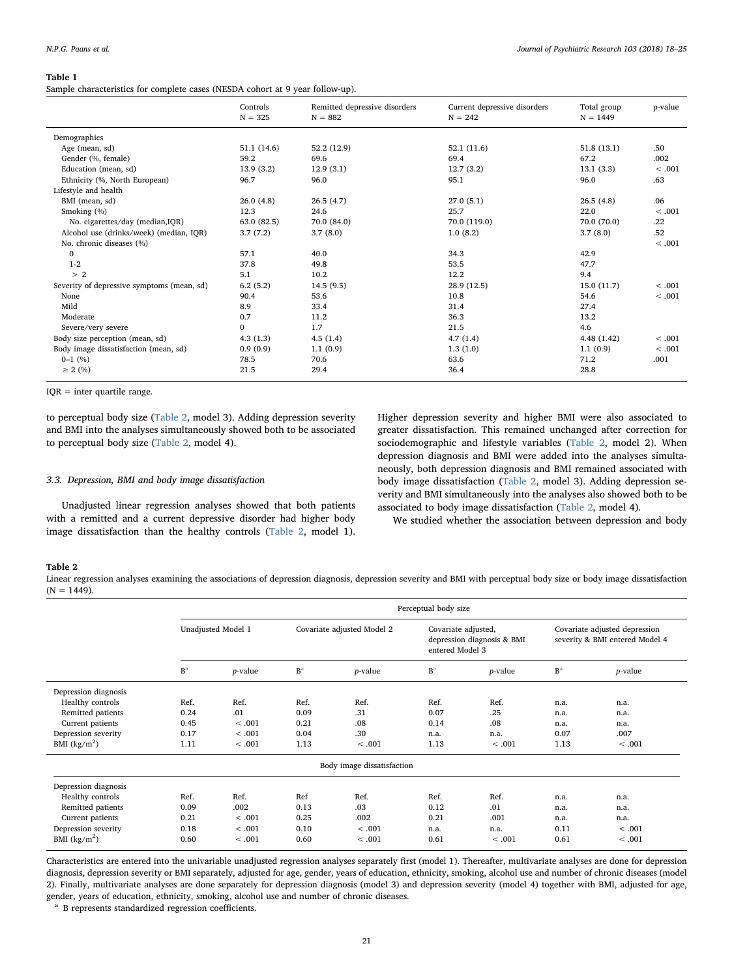#### <span id="page-3-0"></span>Table 1

Sample characteristics for complete cases (NESDA cohort at 9 year follow-up).

|                                            | Controls<br>$N = 325$ | Remitted depressive disorders<br>$N = 882$ | Current depressive disorders<br>$N = 242$ | Total group<br>$N = 1449$ | p-value |
|--------------------------------------------|-----------------------|--------------------------------------------|-------------------------------------------|---------------------------|---------|
| Demographics                               |                       |                                            |                                           |                           |         |
| Age (mean, sd)                             | 51.1 (14.6)           | 52.2 (12.9)                                | 52.1(11.6)                                | 51.8(13.1)                | .50     |
| Gender (%, female)                         | 59.2                  | 69.6                                       | 69.4                                      | 67.2                      | .002    |
| Education (mean, sd)                       | 13.9(3.2)             | 12.9(3.1)                                  | 12.7(3.2)                                 | 13.1(3.3)                 | < .001  |
| Ethnicity (%, North European)              | 96.7                  | 96.0                                       | 95.1                                      | 96.0                      | .63     |
| Lifestyle and health                       |                       |                                            |                                           |                           |         |
| BMI (mean, sd)                             | 26.0(4.8)             | 26.5(4.7)                                  | 27.0(5.1)                                 | 26.5(4.8)                 | .06     |
| Smoking (%)                                | 12.3                  | 24.6                                       | 25.7                                      | 22.0                      | < .001  |
| No. cigarettes/day (median, IQR)           | 63.0 (82.5)           | 70.0 (84.0)                                | 70.0 (119.0)                              | 70.0 (70.0)               | .22     |
| Alcohol use (drinks/week) (median, IQR)    | 3.7(7.2)              | 3.7(8.0)                                   | 1.0(8.2)                                  | 3.7(8.0)                  | .52     |
| No. chronic diseases (%)                   |                       |                                            |                                           |                           | < .001  |
| $\mathbf{0}$                               | 57.1                  | 40.0                                       | 34.3                                      | 42.9                      |         |
| $1-2$                                      | 37.8                  | 49.8                                       | 53.5                                      | 47.7                      |         |
| >2                                         | 5.1                   | 10.2                                       | 12.2                                      | 9.4                       |         |
| Severity of depressive symptoms (mean, sd) | 6.2(5.2)              | 14.5(9.5)                                  | 28.9 (12.5)                               | 15.0 (11.7)               | < .001  |
| None                                       | 90.4                  | 53.6                                       | 10.8                                      | 54.6                      | < .001  |
| Mild                                       | 8.9                   | 33.4                                       | 31.4                                      | 27.4                      |         |
| Moderate                                   | 0.7                   | 11.2                                       | 36.3                                      | 13.2                      |         |
| Severe/very severe                         | $\Omega$              | 1.7                                        | 21.5                                      | 4.6                       |         |
| Body size perception (mean, sd)            | 4.3(1.3)              | 4.5(1.4)                                   | 4.7(1.4)                                  | 4.48(1.42)                | < .001  |
| Body image dissatisfaction (mean, sd)      | 0.9(0.9)              | 1.1(0.9)                                   | 1.3(1.0)                                  | 1.1(0.9)                  | < .001  |
| $0-1$ (%)                                  | 78.5                  | 70.6                                       | 63.6                                      | 71.2                      | .001    |
| $\geq 2$ (%)                               | 21.5                  | 29.4                                       | 36.4                                      | 28.8                      |         |

 $IOR = inter quartile range.$ 

to perceptual body size [\(Table 2,](#page-3-1) model 3). Adding depression severity and BMI into the analyses simultaneously showed both to be associated to perceptual body size [\(Table 2,](#page-3-1) model 4).

### 3.3. Depression, BMI and body image dissatisfaction

Unadjusted linear regression analyses showed that both patients with a remitted and a current depressive disorder had higher body image dissatisfaction than the healthy controls [\(Table 2,](#page-3-1) model 1). Higher depression severity and higher BMI were also associated to greater dissatisfaction. This remained unchanged after correction for sociodemographic and lifestyle variables ([Table 2,](#page-3-1) model 2). When depression diagnosis and BMI were added into the analyses simultaneously, both depression diagnosis and BMI remained associated with body image dissatisfaction ([Table 2](#page-3-1), model 3). Adding depression severity and BMI simultaneously into the analyses also showed both to be associated to body image dissatisfaction ([Table 2](#page-3-1), model 4).

We studied whether the association between depression and body

#### <span id="page-3-1"></span>Table 2

Linear regression analyses examining the associations of depression diagnosis, depression severity and BMI with perceptual body size or body image dissatisfaction  $(N = 1449)$ .

|                      | Perceptual body size |                 |                            |                            |                |                                                                      |                |                                                                 |  |
|----------------------|----------------------|-----------------|----------------------------|----------------------------|----------------|----------------------------------------------------------------------|----------------|-----------------------------------------------------------------|--|
|                      | Unadjusted Model 1   |                 | Covariate adjusted Model 2 |                            |                | Covariate adjusted,<br>depression diagnosis & BMI<br>entered Model 3 |                | Covariate adjusted depression<br>severity & BMI entered Model 4 |  |
|                      | B <sup>a</sup>       | <i>p</i> -value | B <sup>a</sup>             | <i>p</i> -value            | B <sup>a</sup> | <i>p</i> -value                                                      | B <sup>a</sup> | $p$ -value                                                      |  |
| Depression diagnosis |                      |                 |                            |                            |                |                                                                      |                |                                                                 |  |
| Healthy controls     | Ref.                 | Ref.            | Ref.                       | Ref.                       | Ref.           | Ref.                                                                 | n.a.           | n.a.                                                            |  |
| Remitted patients    | 0.24                 | .01             | 0.09                       | .31                        | 0.07           | .25                                                                  | n.a.           | n.a.                                                            |  |
| Current patients     | 0.45                 | < .001          | 0.21                       | .08                        | 0.14           | .08                                                                  | n.a.           | n.a.                                                            |  |
| Depression severity  | 0.17                 | < .001          | 0.04                       | .30                        | n.a.           | n.a.                                                                 | 0.07           | .007                                                            |  |
| BMI $(kg/m2)$        | 1.11                 | < .001          | 1.13                       | < .001                     | 1.13           | < .001                                                               | 1.13           | < .001                                                          |  |
|                      |                      |                 |                            | Body image dissatisfaction |                |                                                                      |                |                                                                 |  |
| Depression diagnosis |                      |                 |                            |                            |                |                                                                      |                |                                                                 |  |
| Healthy controls     | Ref.                 | Ref.            | Ref                        | Ref.                       | Ref.           | Ref.                                                                 | n.a.           | n.a.                                                            |  |
| Remitted patients    | 0.09                 | .002            | 0.13                       | .03                        | 0.12           | .01                                                                  | n.a.           | n.a.                                                            |  |
| Current patients     | 0.21                 | < .001          | 0.25                       | .002                       | 0.21           | .001                                                                 | n.a.           | n.a.                                                            |  |
| Depression severity  | 0.18                 | < .001          | 0.10                       | < .001                     | n.a.           | n.a.                                                                 | 0.11           | < .001                                                          |  |
| BMI $(kg/m2)$        | 0.60                 | < .001          | 0.60                       | < .001                     | 0.61           | < .001                                                               | 0.61           | < .001                                                          |  |

Characteristics are entered into the univariable unadjusted regression analyses separately first (model 1). Thereafter, multivariate analyses are done for depression diagnosis, depression severity or BMI separately, adjusted for age, gender, years of education, ethnicity, smoking, alcohol use and number of chronic diseases (model 2). Finally, multivariate analyses are done separately for depression diagnosis (model 3) and depression severity (model 4) together with BMI, adjusted for age, gender, years of education, ethnicity, smoking, alcohol use and number of chronic diseases.

<span id="page-3-2"></span><sup>a</sup> B represents standardized regression coefficients.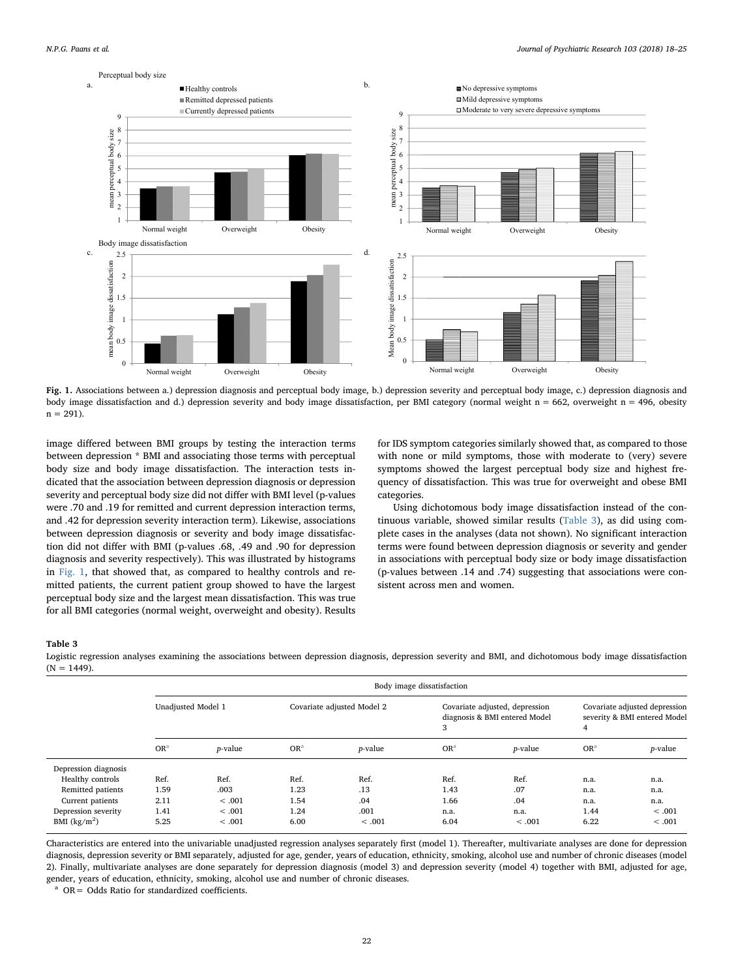<span id="page-4-0"></span>

Fig. 1. Associations between a.) depression diagnosis and perceptual body image, b.) depression severity and perceptual body image, c.) depression diagnosis and body image dissatisfaction and d.) depression severity and body image dissatisfaction, per BMI category (normal weight n = 662, overweight n = 496, obesity  $n = 291$ ).

image differed between BMI groups by testing the interaction terms between depression \* BMI and associating those terms with perceptual body size and body image dissatisfaction. The interaction tests indicated that the association between depression diagnosis or depression severity and perceptual body size did not differ with BMI level (p-values were .70 and .19 for remitted and current depression interaction terms, and .42 for depression severity interaction term). Likewise, associations between depression diagnosis or severity and body image dissatisfaction did not differ with BMI (p-values .68, .49 and .90 for depression diagnosis and severity respectively). This was illustrated by histograms in [Fig. 1,](#page-4-0) that showed that, as compared to healthy controls and remitted patients, the current patient group showed to have the largest perceptual body size and the largest mean dissatisfaction. This was true for all BMI categories (normal weight, overweight and obesity). Results

for IDS symptom categories similarly showed that, as compared to those with none or mild symptoms, those with moderate to (very) severe symptoms showed the largest perceptual body size and highest frequency of dissatisfaction. This was true for overweight and obese BMI categories.

Using dichotomous body image dissatisfaction instead of the continuous variable, showed similar results [\(Table 3](#page-4-1)), as did using complete cases in the analyses (data not shown). No significant interaction terms were found between depression diagnosis or severity and gender in associations with perceptual body size or body image dissatisfaction (p-values between .14 and .74) suggesting that associations were consistent across men and women.

#### <span id="page-4-1"></span>Table 3

Logistic regression analyses examining the associations between depression diagnosis, depression severity and BMI, and dichotomous body image dissatisfaction  $(N = 1449)$ .

|                      | Body image dissatisfaction |                 |                            |                 |                                                                      |                 |                                                                    |                 |
|----------------------|----------------------------|-----------------|----------------------------|-----------------|----------------------------------------------------------------------|-----------------|--------------------------------------------------------------------|-----------------|
|                      | Unadjusted Model 1         |                 | Covariate adjusted Model 2 |                 | Covariate adjusted, depression<br>diagnosis & BMI entered Model<br>3 |                 | Covariate adjusted depression<br>severity & BMI entered Model<br>4 |                 |
|                      | OR <sup>a</sup>            | <i>p</i> -value | OR <sup>a</sup>            | <i>p</i> -value | OR <sup>a</sup>                                                      | <i>p</i> -value | OR <sup>a</sup>                                                    | <i>p</i> -value |
| Depression diagnosis |                            |                 |                            |                 |                                                                      |                 |                                                                    |                 |
| Healthy controls     | Ref.                       | Ref.            | Ref.                       | Ref.            | Ref.                                                                 | Ref.            | n.a.                                                               | n.a.            |
| Remitted patients    | 1.59                       | .003            | 1.23                       | .13             | 1.43                                                                 | .07             | n.a.                                                               | n.a.            |
| Current patients     | 2.11                       | < .001          | 1.54                       | .04             | 1.66                                                                 | .04             | n.a.                                                               | n.a.            |
| Depression severity  | 1.41                       | < .001          | 1.24                       | .001            | n.a.                                                                 | n.a.            | 1.44                                                               | < .001          |
| BMI $(kg/m2)$        | 5.25                       | < 0.001         | 6.00                       | < .001          | 6.04                                                                 | < .001          | 6.22                                                               | < 0.001         |

Characteristics are entered into the univariable unadjusted regression analyses separately first (model 1). Thereafter, multivariate analyses are done for depression diagnosis, depression severity or BMI separately, adjusted for age, gender, years of education, ethnicity, smoking, alcohol use and number of chronic diseases (model 2). Finally, multivariate analyses are done separately for depression diagnosis (model 3) and depression severity (model 4) together with BMI, adjusted for age, gender, years of education, ethnicity, smoking, alcohol use and number of chronic diseases.

<span id="page-4-2"></span><sup>a</sup> OR= Odds Ratio for standardized coefficients.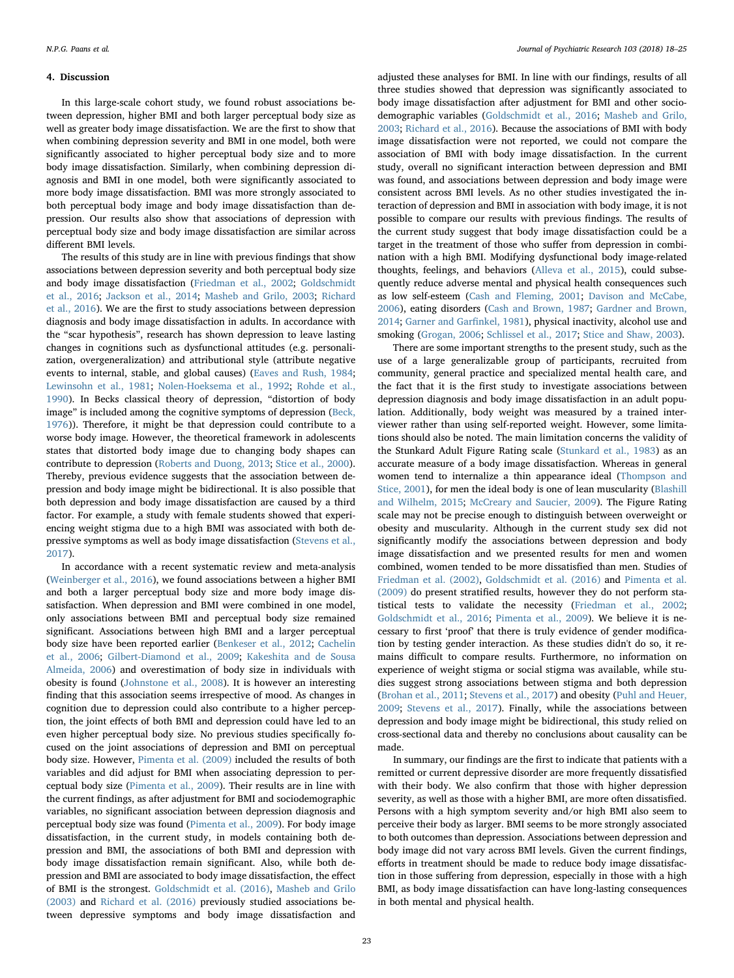#### 4. Discussion

In this large-scale cohort study, we found robust associations between depression, higher BMI and both larger perceptual body size as well as greater body image dissatisfaction. We are the first to show that when combining depression severity and BMI in one model, both were significantly associated to higher perceptual body size and to more body image dissatisfaction. Similarly, when combining depression diagnosis and BMI in one model, both were significantly associated to more body image dissatisfaction. BMI was more strongly associated to both perceptual body image and body image dissatisfaction than depression. Our results also show that associations of depression with perceptual body size and body image dissatisfaction are similar across different BMI levels.

The results of this study are in line with previous findings that show associations between depression severity and both perceptual body size and body image dissatisfaction ([Friedman et al., 2002](#page-6-26); [Goldschmidt](#page-6-27) [et al., 2016](#page-6-27); [Jackson et al., 2014](#page-6-28); [Masheb and Grilo, 2003](#page-6-24); [Richard](#page-7-10) [et al., 2016](#page-7-10)). We are the first to study associations between depression diagnosis and body image dissatisfaction in adults. In accordance with the "scar hypothesis", research has shown depression to leave lasting changes in cognitions such as dysfunctional attitudes (e.g. personalization, overgeneralization) and attributional style (attribute negative events to internal, stable, and global causes) ([Eaves and Rush, 1984](#page-6-33); [Lewinsohn et al., 1981](#page-6-34); [Nolen-Hoeksema et al., 1992](#page-6-35); [Rohde et al.,](#page-7-19) [1990\)](#page-7-19). In Becks classical theory of depression, "distortion of body image" is included among the cognitive symptoms of depression ([Beck,](#page-6-18) [1976\)](#page-6-18)). Therefore, it might be that depression could contribute to a worse body image. However, the theoretical framework in adolescents states that distorted body image due to changing body shapes can contribute to depression ([Roberts and Duong, 2013](#page-7-8); [Stice et al., 2000](#page-7-9)). Thereby, previous evidence suggests that the association between depression and body image might be bidirectional. It is also possible that both depression and body image dissatisfaction are caused by a third factor. For example, a study with female students showed that experiencing weight stigma due to a high BMI was associated with both depressive symptoms as well as body image dissatisfaction [\(Stevens et al.,](#page-7-13) [2017\)](#page-7-13).

In accordance with a recent systematic review and meta-analysis ([Weinberger et al., 2016\)](#page-7-4), we found associations between a higher BMI and both a larger perceptual body size and more body image dissatisfaction. When depression and BMI were combined in one model, only associations between BMI and perceptual body size remained significant. Associations between high BMI and a larger perceptual body size have been reported earlier [\(Benkeser et al., 2012;](#page-6-36) [Cachelin](#page-6-37) [et al., 2006](#page-6-37); [Gilbert-Diamond et al., 2009](#page-6-38); [Kakeshita and de Sousa](#page-6-39) [Almeida, 2006\)](#page-6-39) and overestimation of body size in individuals with obesity is found ([Johnstone et al., 2008](#page-6-40)). It is however an interesting finding that this association seems irrespective of mood. As changes in cognition due to depression could also contribute to a higher perception, the joint effects of both BMI and depression could have led to an even higher perceptual body size. No previous studies specifically focused on the joint associations of depression and BMI on perceptual body size. However, [Pimenta et al. \(2009\)](#page-6-25) included the results of both variables and did adjust for BMI when associating depression to perceptual body size [\(Pimenta et al., 2009\)](#page-6-25). Their results are in line with the current findings, as after adjustment for BMI and sociodemographic variables, no significant association between depression diagnosis and perceptual body size was found [\(Pimenta et al., 2009\)](#page-6-25). For body image dissatisfaction, in the current study, in models containing both depression and BMI, the associations of both BMI and depression with body image dissatisfaction remain significant. Also, while both depression and BMI are associated to body image dissatisfaction, the effect of BMI is the strongest. [Goldschmidt et al. \(2016\),](#page-6-27) [Masheb and Grilo](#page-6-24) [\(2003\)](#page-6-24) and [Richard et al. \(2016\)](#page-7-10) previously studied associations between depressive symptoms and body image dissatisfaction and

adjusted these analyses for BMI. In line with our findings, results of all three studies showed that depression was significantly associated to body image dissatisfaction after adjustment for BMI and other sociodemographic variables [\(Goldschmidt et al., 2016;](#page-6-27) [Masheb and Grilo,](#page-6-24) [2003;](#page-6-24) [Richard et al., 2016](#page-7-10)). Because the associations of BMI with body image dissatisfaction were not reported, we could not compare the association of BMI with body image dissatisfaction. In the current study, overall no significant interaction between depression and BMI was found, and associations between depression and body image were consistent across BMI levels. As no other studies investigated the interaction of depression and BMI in association with body image, it is not possible to compare our results with previous findings. The results of the current study suggest that body image dissatisfaction could be a target in the treatment of those who suffer from depression in combination with a high BMI. Modifying dysfunctional body image-related thoughts, feelings, and behaviors [\(Alleva et al., 2015\)](#page-6-41), could subsequently reduce adverse mental and physical health consequences such as low self-esteem ([Cash and Fleming, 2001;](#page-6-12) [Davison and McCabe,](#page-6-13) [2006\)](#page-6-13), eating disorders [\(Cash and Brown, 1987;](#page-6-15) [Gardner and Brown,](#page-6-16) [2014;](#page-6-16) [Garner and Gar](#page-6-17)finkel, 1981), physical inactivity, alcohol use and smoking ([Grogan, 2006;](#page-6-14) [Schlissel et al., 2017;](#page-7-5) Stice [and Shaw, 2003\)](#page-7-6).

There are some important strengths to the present study, such as the use of a large generalizable group of participants, recruited from community, general practice and specialized mental health care, and the fact that it is the first study to investigate associations between depression diagnosis and body image dissatisfaction in an adult population. Additionally, body weight was measured by a trained interviewer rather than using self-reported weight. However, some limitations should also be noted. The main limitation concerns the validity of the Stunkard Adult Figure Rating scale ([Stunkard et al., 1983](#page-7-16)) as an accurate measure of a body image dissatisfaction. Whereas in general women tend to internalize a thin appearance ideal ([Thompson and](#page-7-20) [Stice, 2001\)](#page-7-20), for men the ideal body is one of lean muscularity [\(Blashill](#page-6-42) [and Wilhelm, 2015;](#page-6-42) [McCreary and Saucier, 2009](#page-6-43)). The Figure Rating scale may not be precise enough to distinguish between overweight or obesity and muscularity. Although in the current study sex did not significantly modify the associations between depression and body image dissatisfaction and we presented results for men and women combined, women tended to be more dissatisfied than men. Studies of [Friedman et al. \(2002\),](#page-6-26) [Goldschmidt et al. \(2016\)](#page-6-27) and [Pimenta et al.](#page-6-25) [\(2009\)](#page-6-25) do present stratified results, however they do not perform statistical tests to validate the necessity ([Friedman et al., 2002](#page-6-26); [Goldschmidt et al., 2016;](#page-6-27) [Pimenta et al., 2009](#page-6-25)). We believe it is necessary to first 'proof' that there is truly evidence of gender modification by testing gender interaction. As these studies didn't do so, it remains difficult to compare results. Furthermore, no information on experience of weight stigma or social stigma was available, while studies suggest strong associations between stigma and both depression ([Brohan et al., 2011;](#page-6-44) [Stevens et al., 2017\)](#page-7-13) and obesity ([Puhl and Heuer,](#page-7-12) [2009;](#page-7-12) [Stevens et al., 2017](#page-7-13)). Finally, while the associations between depression and body image might be bidirectional, this study relied on cross-sectional data and thereby no conclusions about causality can be made.

In summary, our findings are the first to indicate that patients with a remitted or current depressive disorder are more frequently dissatisfied with their body. We also confirm that those with higher depression severity, as well as those with a higher BMI, are more often dissatisfied. Persons with a high symptom severity and/or high BMI also seem to perceive their body as larger. BMI seems to be more strongly associated to both outcomes than depression. Associations between depression and body image did not vary across BMI levels. Given the current findings, efforts in treatment should be made to reduce body image dissatisfaction in those suffering from depression, especially in those with a high BMI, as body image dissatisfaction can have long-lasting consequences in both mental and physical health.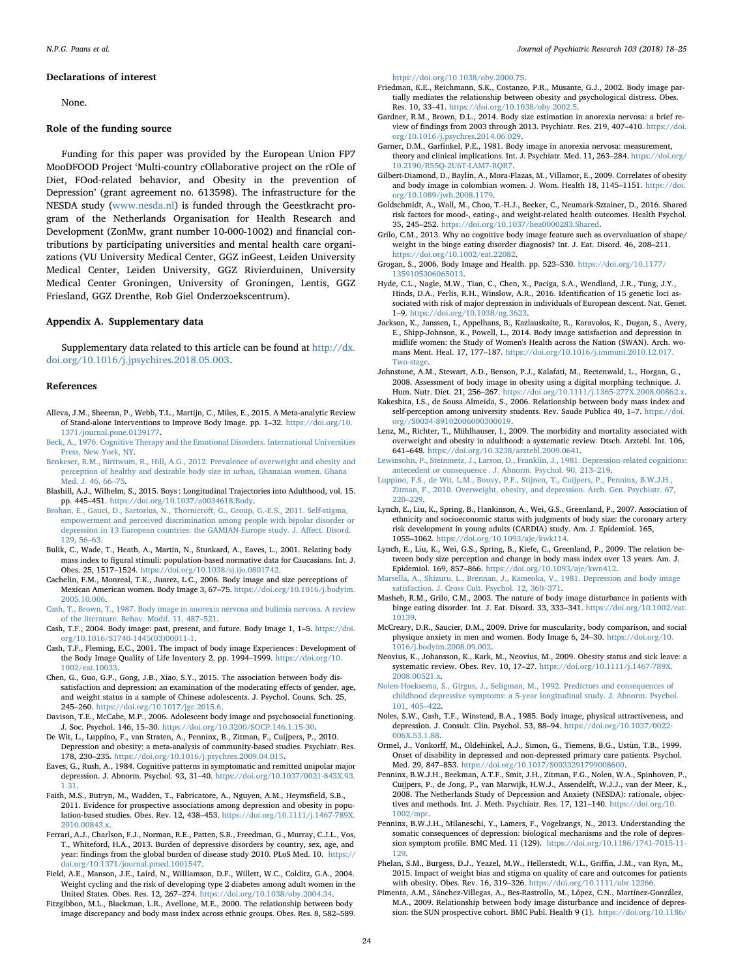#### Declarations of interest

None.

#### Role of the funding source

Funding for this paper was provided by the European Union FP7 MooDFOOD Project 'Multi-country cOllaborative project on the rOle of Diet, FOod-related behavior, and Obesity in the prevention of Depression' (grant agreement no. 613598). The infrastructure for the NESDA study [\(www.nesda.nl\)](http://www.nesda.nl) is funded through the Geestkracht program of the Netherlands Organisation for Health Research and Development (ZonMw, grant number 10-000-1002) and financial contributions by participating universities and mental health care organizations (VU University Medical Center, GGZ inGeest, Leiden University Medical Center, Leiden University, GGZ Rivierduinen, University Medical Center Groningen, University of Groningen, Lentis, GGZ Friesland, GGZ Drenthe, Rob Giel Onderzoekscentrum).

#### Appendix A. Supplementary data

Supplementary data related to this article can be found at [http://dx.](http://dx.doi.org/10.1016/j.jpsychires.2018.05.003) [doi.org/10.1016/j.jpsychires.2018.05.003](http://dx.doi.org/10.1016/j.jpsychires.2018.05.003).

#### References

- <span id="page-6-41"></span>Alleva, J.M., Sheeran, P., Webb, T.L., Martijn, C., Miles, E., 2015. A Meta-analytic Review of Stand-alone Interventions to Improve Body Image. pp. 1–32. [https://doi.org/10.](https://doi.org/10.1371/journal.pone.0139177) [1371/journal.pone.0139177.](https://doi.org/10.1371/journal.pone.0139177)
- <span id="page-6-18"></span>[Beck, A., 1976. Cognitive Therapy and the Emotional Disorders. International Universities](http://refhub.elsevier.com/S0022-3956(18)30168-7/sref2) [Press, New York, NY.](http://refhub.elsevier.com/S0022-3956(18)30168-7/sref2)
- <span id="page-6-36"></span>[Benkeser, R.M., Biritwum, R., Hill, A.G., 2012. Prevalence of overweight and obesity and](http://refhub.elsevier.com/S0022-3956(18)30168-7/sref3) [perception of healthy and desirable body size in urban, Ghanaian women. Ghana](http://refhub.elsevier.com/S0022-3956(18)30168-7/sref3) [Med. J. 46, 66](http://refhub.elsevier.com/S0022-3956(18)30168-7/sref3)–75.
- <span id="page-6-42"></span>Blashill, A.J., Wilhelm, S., 2015. Boys : Longitudinal Trajectories into Adulthood, vol. 15. pp. 445–451. [https://doi.org/10.1037/a0034618.Body.](https://doi.org/10.1037/a0034618.Body)
- <span id="page-6-44"></span>[Brohan, E., Gauci, D., Sartorius, N., Thornicroft, G., Group, G.-E.S., 2011. Self-stigma,](http://refhub.elsevier.com/S0022-3956(18)30168-7/sref5) [empowerment and perceived discrimination among people with bipolar disorder or](http://refhub.elsevier.com/S0022-3956(18)30168-7/sref5) [depression in 13 European countries: the GAMIAN-Europe study. J. A](http://refhub.elsevier.com/S0022-3956(18)30168-7/sref5)ffect. Disord. [129, 56](http://refhub.elsevier.com/S0022-3956(18)30168-7/sref5)–63.
- <span id="page-6-20"></span>Bulik, C., Wade, T., Heath, A., Martin, N., Stunkard, A., Eaves, L., 2001. Relating body mass index to figural stimuli: population-based normative data for Caucasians. Int. J. Obes. 25, 1517–1524. <https://doi.org/10.1038/sj.ijo.0801742>.
- <span id="page-6-37"></span>Cachelin, F.M., Monreal, T.K., Juarez, L.C., 2006. Body image and size perceptions of Mexican American women. Body Image 3, 67–75. [https://doi.org/10.1016/j.bodyim.](https://doi.org/10.1016/j.bodyim.2005.10.006) [2005.10.006](https://doi.org/10.1016/j.bodyim.2005.10.006).
- <span id="page-6-15"></span>[Cash, T., Brown, T., 1987. Body image in anorexia nervosa and bulimia nervosa. A review](http://refhub.elsevier.com/S0022-3956(18)30168-7/sref8) [of the literature. Behav. Modif. 11, 487](http://refhub.elsevier.com/S0022-3956(18)30168-7/sref8)–521.
- <span id="page-6-19"></span>Cash, T.F., 2004. Body image: past, present, and future. Body Image 1, 1–5. [https://doi.](https://doi.org/10.1016/S1740-1445(03) [org/10.1016/S1740-1445\(03\)00011-1](https://doi.org/10.1016/S1740-1445(03).
- <span id="page-6-12"></span>Cash, T.F., Fleming, E.C., 2001. The impact of body image Experiences : Development of the Body Image Quality of Life Inventory 2. pp. 1994–1999. [https://doi.org/10.](https://doi.org/10.1002/eat.10033) [1002/eat.10033](https://doi.org/10.1002/eat.10033).
- <span id="page-6-30"></span>Chen, G., Guo, G.P., Gong, J.B., Xiao, S.Y., 2015. The association between body dissatisfaction and depression: an examination of the moderating effects of gender, age, and weight status in a sample of Chinese adolescents. J. Psychol. Couns. Sch. 25, 245–260. [https://doi.org/10.1017/jgc.2015.6.](https://doi.org/10.1017/jgc.2015.6)
- <span id="page-6-13"></span>Davison, T.E., McCabe, M.P., 2006. Adolescent body image and psychosocial functioning. J. Soc. Psychol. 146, 15–30. <https://doi.org/10.3200/SOCP.146.1.15-30>.
- <span id="page-6-1"></span>De Wit, L., Luppino, F., van Straten, A., Penninx, B., Zitman, F., Cuijpers, P., 2010. Depression and obesity: a meta-analysis of community-based studies. Psychiatr. Res. 178, 230–235. <https://doi.org/10.1016/j.psychres.2009.04.015>.
- <span id="page-6-33"></span>Eaves, G., Rush, A., 1984. Cognitive patterns in symptomatic and remitted unipolar major depression. J. Abnorm. Psychol. 93, 31–40. [https://doi.org/10.1037/0021-843X.93.](https://doi.org/10.1037/0021-843X.93.1.31) [1.31](https://doi.org/10.1037/0021-843X.93.1.31).
- <span id="page-6-2"></span>Faith, M.S., Butryn, M., Wadden, T., Fabricatore, A., Nguyen, A.M., Heymsfield, S.B., 2011. Evidence for prospective associations among depression and obesity in population-based studies. Obes. Rev. 12, 438–453. [https://doi.org/10.1111/j.1467-789X.](https://doi.org/10.1111/j.1467-789X.2010.00843.x) [2010.00843.x.](https://doi.org/10.1111/j.1467-789X.2010.00843.x)
- <span id="page-6-0"></span>Ferrari, A.J., Charlson, F.J., Norman, R.E., Patten, S.B., Freedman, G., Murray, C.J.L., Vos, T., Whiteford, H.A., 2013. Burden of depressive disorders by country, sex, age, and year: findings from the global burden of disease study 2010. PLoS Med. 10. [https://](https://doi.org/10.1371/journal.pmed.1001547) [doi.org/10.1371/journal.pmed.1001547.](https://doi.org/10.1371/journal.pmed.1001547)
- <span id="page-6-4"></span>Field, A.E., Manson, J.E., Laird, N., Williamson, D.F., Willett, W.C., Colditz, G.A., 2004. Weight cycling and the risk of developing type 2 diabetes among adult women in the United States. Obes. Res. 12, 267–274. [https://doi.org/10.1038/oby.2004.34.](https://doi.org/10.1038/oby.2004.34)
- <span id="page-6-32"></span>Fitzgibbon, M.L., Blackman, L.R., Avellone, M.E., 2000. The relationship between body image discrepancy and body mass index across ethnic groups. Obes. Res. 8, 582–589.

[https://doi.org/10.1038/oby.2000.75.](https://doi.org/10.1038/oby.2000.75)

- <span id="page-6-26"></span>Friedman, K.E., Reichmann, S.K., Costanzo, P.R., Musante, G.J., 2002. Body image partially mediates the relationship between obesity and psychological distress. Obes. Res. 10, 33–41. [https://doi.org/10.1038/oby.2002.5.](https://doi.org/10.1038/oby.2002.5)
- <span id="page-6-16"></span>Gardner, R.M., Brown, D.L., 2014. Body size estimation in anorexia nervosa: a brief review of findings from 2003 through 2013. Psychiatr. Res. 219, 407–410. [https://doi.](https://doi.org/10.1016/j.psychres.2014.06.029) [org/10.1016/j.psychres.2014.06.029.](https://doi.org/10.1016/j.psychres.2014.06.029)
- <span id="page-6-17"></span>Garner, D.M., Garfinkel, P.E., 1981. Body image in anorexia nervosa: measurement, theory and clinical implications. Int. J. Psychiatr. Med. 11, 263-284. [https://doi.org/](https://doi.org/10.2190/R55Q-2U6T-LAM7-RQR7) [10.2190/R55Q-2U6T-LAM7-RQR7](https://doi.org/10.2190/R55Q-2U6T-LAM7-RQR7).
- <span id="page-6-38"></span>Gilbert-Diamond, D., Baylin, A., Mora-Plazas, M., Villamor, E., 2009. Correlates of obesity and body image in colombian women. J. Wom. Health 18, 1145–1151. [https://doi.](https://doi.org/10.1089/jwh.2008.1179) [org/10.1089/jwh.2008.1179](https://doi.org/10.1089/jwh.2008.1179).
- <span id="page-6-27"></span>Goldschmidt, A., Wall, M., Choo, T.-H.J., Becker, C., Neumark-Sztainer, D., 2016. Shared risk factors for mood-, eating-, and weight-related health outcomes. Health Psychol. 35, 245–252. <https://doi.org/10.1037/hea0000283.Shared>.
- <span id="page-6-21"></span>Grilo, C.M., 2013. Why no cognitive body image feature such as overvaluation of shape/ weight in the binge eating disorder diagnosis? Int. J. Eat. Disord. 46, 208–211. [https://doi.org/10.1002/eat.22082.](https://doi.org/10.1002/eat.22082)
- <span id="page-6-14"></span>Grogan, S., 2006. Body Image and Health. pp. 523–530. [https://doi.org/10.1177/](https://doi.org/10.1177/1359105306065013) [1359105306065013.](https://doi.org/10.1177/1359105306065013)
- <span id="page-6-29"></span>Hyde, C.L., Nagle, M.W., Tian, C., Chen, X., Paciga, S.A., Wendland, J.R., Tung, J.Y., Hinds, D.A., Perlis, R.H., Winslow, A.R., 2016. Identification of 15 genetic loci associated with risk of major depression in individuals of European descent. Nat. Genet. 1–9. [https://doi.org/10.1038/ng.3623.](https://doi.org/10.1038/ng.3623)
- <span id="page-6-28"></span>Jackson, K., Janssen, I., Appelhans, B., Kazlauskaite, R., Karavolos, K., Dugan, S., Avery, E., Shipp-Johnson, K., Powell, L., 2014. Body image satisfaction and depression in midlife women: the Study of Women's Health across the Nation (SWAN). Arch. womans Ment. Heal. 17, 177-187. [https://doi.org/10.1016/j.immuni.2010.12.017.](https://doi.org/10.1016/j.immuni.2010.12.017.Two-stage) [Two-stage](https://doi.org/10.1016/j.immuni.2010.12.017.Two-stage).
- <span id="page-6-40"></span>Johnstone, A.M., Stewart, A.D., Benson, P.J., Kalafati, M., Rectenwald, L., Horgan, G., 2008. Assessment of body image in obesity using a digital morphing technique. J. Hum. Nutr. Diet. 21, 256–267. [https://doi.org/10.1111/j.1365-277X.2008.00862.x.](https://doi.org/10.1111/j.1365-277X.2008.00862.x)
- <span id="page-6-39"></span>Kakeshita, I.S., de Sousa Almeida, S., 2006. Relationship between body mass index and self-perception among university students. Rev. Saude Publica 40, 1–7. [https://doi.](https://doi.org//S0034-89102006000300019) [org//S0034-89102006000300019.](https://doi.org//S0034-89102006000300019)
- <span id="page-6-5"></span>Lenz, M., Richter, T., Mühlhauser, I., 2009. The morbidity and mortality associated with overweight and obesity in adulthood: a systematic review. Dtsch. Arztebl. Int. 106, 641–648. [https://doi.org/10.3238/arztebl.2009.0641.](https://doi.org/10.3238/arztebl.2009.0641)
- <span id="page-6-34"></span>[Lewinsohn, P., Steinmetz, J., Larson, D., Franklin, J., 1981. Depression-related cognitions:](http://refhub.elsevier.com/S0022-3956(18)30168-7/sref31) [antecedent or consequence . J. Abnorm. Psychol. 90, 213](http://refhub.elsevier.com/S0022-3956(18)30168-7/sref31)–219.
- <span id="page-6-3"></span>[Luppino, F.S., de Wit, L.M., Bouvy, P.F., Stijnen, T., Cuijpers, P., Penninx, B.W.J.H.,](http://refhub.elsevier.com/S0022-3956(18)30168-7/sref32) [Zitman, F., 2010. Overweight, obesity, and depression. Arch. Gen. Psychiatr. 67,](http://refhub.elsevier.com/S0022-3956(18)30168-7/sref32) 220–[229](http://refhub.elsevier.com/S0022-3956(18)30168-7/sref32).
- <span id="page-6-23"></span>Lynch, E., Liu, K., Spring, B., Hankinson, A., Wei, G.S., Greenland, P., 2007. Association of ethnicity and socioeconomic status with judgments of body size: the coronary artery risk development in young adults (CARDIA) study. Am. J. Epidemiol. 165, 1055–1062. <https://doi.org/10.1093/aje/kwk114>.
- <span id="page-6-22"></span>Lynch, E., Liu, K., Wei, G.S., Spring, B., Kiefe, C., Greenland, P., 2009. The relation between body size perception and change in body mass index over 13 years. Am. J. Epidemiol. 169, 857–866. <https://doi.org/10.1093/aje/kwn412>.
- <span id="page-6-10"></span>[Marsella, A., Shizuru, L., Brennan, J., Kameoka, V., 1981. Depression and body image](http://refhub.elsevier.com/S0022-3956(18)30168-7/sref35) [satisfaction. J. Cross Cult. Psychol. 12, 360](http://refhub.elsevier.com/S0022-3956(18)30168-7/sref35)–371.
- <span id="page-6-24"></span>Masheb, R.M., Grilo, C.M., 2003. The nature of body image disturbance in patients with binge eating disorder. Int. J. Eat. Disord. 33, 333–341. [https://doi.org/10.1002/eat.](https://doi.org/10.1002/eat.10139) [10139.](https://doi.org/10.1002/eat.10139)
- <span id="page-6-43"></span>McCreary, D.R., Saucier, D.M., 2009. Drive for muscularity, body comparison, and social physique anxiety in men and women. Body Image 6, 24–30. [https://doi.org/10.](https://doi.org/10.1016/j.bodyim.2008.09.002) [1016/j.bodyim.2008.09.002.](https://doi.org/10.1016/j.bodyim.2008.09.002)
- <span id="page-6-6"></span>Neovius, K., Johansson, K., Kark, M., Neovius, M., 2009. Obesity status and sick leave: a systematic review. Obes. Rev. 10, 17–27. [https://doi.org/10.1111/j.1467-789X.](https://doi.org/10.1111/j.1467-789X.2008.00521.x) [2008.00521.x.](https://doi.org/10.1111/j.1467-789X.2008.00521.x)
- <span id="page-6-35"></span>[Nolen-Hoeksema, S., Girgus, J., Seligman, M., 1992. Predictors and consequences of](http://refhub.elsevier.com/S0022-3956(18)30168-7/sref39) [childhood depressive symptoms: a 5-year longitudinal study. J. Abnorm. Psychol.](http://refhub.elsevier.com/S0022-3956(18)30168-7/sref39) [101, 405](http://refhub.elsevier.com/S0022-3956(18)30168-7/sref39)–422.
- <span id="page-6-11"></span>Noles, S.W., Cash, T.F., Winstead, B.A., 1985. Body image, physical attractiveness, and depression. J. Consult. Clin. Psychol. 53, 88–94. [https://doi.org/10.1037/0022-](https://doi.org/10.1037/0022-006X.53.1.88) [006X.53.1.88.](https://doi.org/10.1037/0022-006X.53.1.88)
- <span id="page-6-7"></span>Ormel, J., Vonkorff, M., Oldehinkel, A.J., Simon, G., Tiemens, B.G., Ustün, T.B., 1999. Onset of disability in depressed and non-depressed primary care patients. Psychol. Med. 29, 847–853. <https://doi.org/10.1017/S0033291799008600>.
- <span id="page-6-31"></span>Penninx, B.W.J.H., Beekman, A.T.F., Smit, J.H., Zitman, F.G., Nolen, W.A., Spinhoven, P., Cuijpers, P., de Jong, P., van Marwijk, H.W.J., Assendelft, W.J.J., van der Meer, K., 2008. The Netherlands Study of Depression and Anxiety (NESDA): rationale, objectives and methods. Int. J. Meth. Psychiatr. Res. 17, 121–140. [https://doi.org/10.](https://doi.org/10.1002/mpr) [1002/mpr.](https://doi.org/10.1002/mpr)
- <span id="page-6-8"></span>Penninx, B.W.J.H., Milaneschi, Y., Lamers, F., Vogelzangs, N., 2013. Understanding the somatic consequences of depression: biological mechanisms and the role of depression symptom profile. BMC Med. 11 (129). [https://doi.org/10.1186/1741-7015-11-](https://doi.org/10.1186/1741-7015-11-129) [129](https://doi.org/10.1186/1741-7015-11-129).
- <span id="page-6-9"></span>Phelan, S.M., Burgess, D.J., Yeazel, M.W., Hellerstedt, W.L., Griffin, J.M., van Ryn, M., 2015. Impact of weight bias and stigma on quality of care and outcomes for patients with obesity. Obes. Rev. 16, 319–326. [https://doi.org/10.1111/obr.12266.](https://doi.org/10.1111/obr.12266)
- <span id="page-6-25"></span>Pimenta, A.M., Sánchez-Villegas, A., Bes-Rastrollo, M., López, C.N., Martínez-González, M.A., 2009. Relationship between body image disturbance and incidence of depression: the SUN prospective cohort. BMC Publ. Health 9 (1). [https://doi.org/10.1186/](https://doi.org/10.1186/1471-2458-9-1)